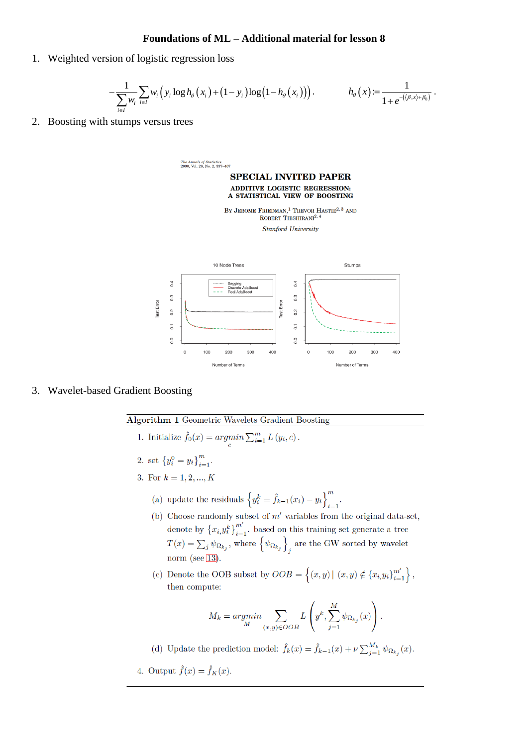## **Foundations of ML – Additional material for lesson 8**

1. Weighted version of logistic regression loss

$$
-\frac{1}{\sum_{i\in I} w_i} \sum_{i\in I} w_i \left(y_i \log h_\theta \left(x_i\right) + \left(1 - y_i\right) \log \left(1 - h_\theta \left(x_i\right)\right)\right). \n\qquad\n h_\theta \left(x\right) := \frac{1}{1 + e^{-\left(\left\langle \beta, x\right\rangle + \beta_0\right)}}.
$$

2. Boosting with stumps versus trees

The Annals of Statistics<br>2000, Vol. 28, No. 2, 337–407

**SPECIAL INVITED PAPER** ADDITIVE LOGISTIC REGRESSION: A STATISTICAL VIEW OF BOOSTING

BY JEROME FRIEDMAN.<sup>1</sup> TREVOR HASTIE<sup>2, 3</sup> AND ROBERT TIBSHIRANI<sup>2,4</sup>

**Stanford University** 



## 3. Wavelet-based Gradient Boosting

**Algorithm 1 Geometric Wavelets Gradient Boosting** 

- 1. Initialize  $\hat{f}_0(x) = \underset{c}{argmin} \sum_{i=1}^{m} L(y_i, c)$ .
- 2. set  $\{y_i^0 = y_i\}_{i=1}^m$
- 3. For  $k = 1, 2, ..., K$ 
	- (a) update the residuals  $\left\{y_i^k = \hat{f}_{k-1}(x_i) y_i\right\}_{i=1}^m$ .
	- (b) Choose randomly subset of  $m'$  variables from the original data-set, denote by  $\{x_i, y_i^k\}_{i=1}^{m'}$ . based on this training set generate a tree  $T(x) = \sum_j \psi_{\Omega_{k_j}}$ , where  $\left\{\psi_{\Omega_{k_j}}\right\}_j$  are the GW sorted by wavelet norm (see  $13$ ).
	- (c) Denote the OOB subset by  $OOB = \{(x, y) | (x, y) \notin \{x_i, y_i\}_{i=1}^{m'}\}\,$ then compute:

$$
M_k = \underset{M}{\operatorname{argmin}} \sum_{(x,y) \in OOB} L\left(y^k, \sum_{j=1}^M \psi_{\Omega_{k_j}}(x)\right).
$$

(d) Update the prediction model:  $\hat{f}_k(x) = \hat{f}_{k-1}(x) + \nu \sum_{j=1}^{M_k} \psi_{\Omega_{k_j}}(x)$ .

4. Output  $\hat{f}(x) = \hat{f}_K(x)$ .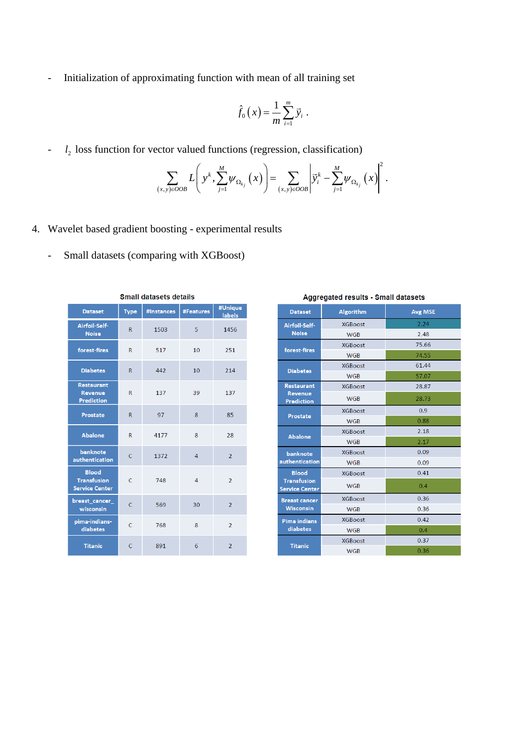- Initialization of approximating function with mean of all training set

$$
\hat{f}_0(x) = \frac{1}{m} \sum_{i=1}^m \vec{y}_i.
$$

  $l_2$  loss function for vector valued functions (regression, classification)

vector valued functions (regression, classification)  

$$
\sum_{(x,y)\in OOB} L\left(y^k, \sum_{j=1}^M \psi_{\Omega_{k_j}}(x)\right) = \sum_{(x,y)\in OOB} \left|\overline{y}_i^k - \sum_{j=1}^M \psi_{\Omega_{k_j}}(x)\right|^2.
$$

- 4. Wavelet based gradient boosting experimental results
	- Small datasets (comparing with XGBoost)

| <b>Dataset</b>                                              | <b>Type</b>    | #Instances | <b>#Features</b> | #Unique<br>labels |  |
|-------------------------------------------------------------|----------------|------------|------------------|-------------------|--|
| Airfoil-Self-<br><b>Noise</b>                               | $\mathsf{R}$   | 1503       | 5                | 1456              |  |
| forest-fires                                                | R              | 517        | 10               | 251               |  |
| <b>Diabetes</b>                                             | $\overline{R}$ | 442        | 10               | 214               |  |
| <b>Restaurant</b><br><b>Revenue</b><br><b>Prediction</b>    | $\overline{R}$ | 137        | 39               | 137               |  |
| <b>Prostate</b>                                             | $\mathsf{R}$   | 97         | 8                | 85                |  |
| <b>Abalone</b>                                              | $\mathsf{R}$   | 4177       | 8                | 28                |  |
| banknote<br>authentication                                  | $\mathsf{C}$   | 1372       | 4                | $\overline{2}$    |  |
| <b>Blood</b><br><b>Transfusion</b><br><b>Service Center</b> | $\mathsf{C}$   | 748        | 4                | $\overline{2}$    |  |
| breast_cancer_<br>wisconsin                                 | C              | 569        | 30               | $\overline{2}$    |  |
| pima-indians-<br>diabetes                                   | $\mathsf{C}$   | 768        | 8                | $\overline{2}$    |  |
| <b>Titanic</b>                                              | $\mathsf{C}$   | 891        | 6                | $\overline{2}$    |  |

**Small datasets details** 

| <b>Dataset</b>                              | <b>Algorithm</b> | <b>Avg MSE</b> |  |  |
|---------------------------------------------|------------------|----------------|--|--|
| Airfoil-Self-                               | <b>XGBoost</b>   | 2.24           |  |  |
| <b>Noise</b>                                | <b>WGB</b>       | 2.48           |  |  |
| forest-fires                                | <b>XGBoost</b>   | 75.66          |  |  |
|                                             | <b>WGB</b>       | 74.55          |  |  |
|                                             | <b>XGBoost</b>   | 61.44          |  |  |
| <b>Diabetes</b>                             | <b>WGB</b>       | 57.07          |  |  |
| <b>Restaurant</b>                           | <b>XGBoost</b>   | 28.87          |  |  |
| <b>Revenue</b><br><b>Prediction</b>         | <b>WGB</b>       | 28.73          |  |  |
| <b>Prostate</b>                             | <b>XGBoost</b>   | 0.9            |  |  |
|                                             | <b>WGB</b>       | 0.88           |  |  |
| <b>Abalone</b>                              | <b>XGBoost</b>   | 2.18           |  |  |
|                                             | <b>WGB</b>       | 2.17           |  |  |
| banknote                                    | <b>XGBoost</b>   | 0.09           |  |  |
| authentication                              | <b>WGB</b>       | 0.09           |  |  |
| <b>Blood</b>                                | <b>XGBoost</b>   | 0.41           |  |  |
| <b>Transfusion</b><br><b>Service Center</b> | <b>WGB</b>       | 0.4            |  |  |
| <b>Breast cancer</b>                        | <b>XGBoost</b>   | 0.36           |  |  |
| <b>Wisconsin</b>                            | <b>WGB</b>       | 0.36           |  |  |
| <b>Pima indians</b>                         | <b>XGBoost</b>   | 0.42           |  |  |
| diabetes                                    | <b>WGB</b>       | 0.4            |  |  |
| <b>Titanic</b>                              | <b>XGBoost</b>   | 0.37           |  |  |
|                                             | <b>WGB</b>       | 0.36           |  |  |
|                                             |                  |                |  |  |

# Aggregated results - Small datasets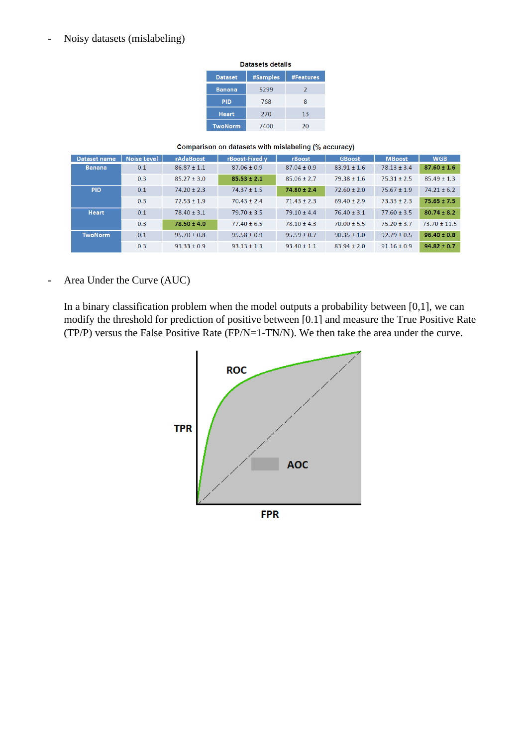# - Noisy datasets (mislabeling)

| Datasets details |          |               |  |  |
|------------------|----------|---------------|--|--|
| <b>Dataset</b>   | #Samples | #Features     |  |  |
| <b>Banana</b>    | 5299     | $\mathcal{P}$ |  |  |
| <b>PID</b>       | 768      | 8             |  |  |
| <b>Heart</b>     | 270      | 13            |  |  |
| <b>TwoNorm</b>   | 7400     | 20            |  |  |

#### Comparison on datasets with mislabeling (% accuracy)

| <b>Dataset name</b> | <b>Noise Level</b> | rAdaBoost       | rBoost-Fixed v  | rBoost          | <b>GBoost</b>   | <b>MBoost</b>   | <b>WGB</b>       |
|---------------------|--------------------|-----------------|-----------------|-----------------|-----------------|-----------------|------------------|
| <b>Banana</b>       | 0.1                | $86.87 + 1.1$   | $87.06 + 0.9$   | $87.04 + 0.9$   | $83.91 + 1.6$   | $78.13 + 3.4$   | $87.60 \pm 1.6$  |
|                     | 0.3                | $85.27 \pm 3.0$ | $85.53 \pm 2.1$ | $85.06 \pm 2.7$ | $79.38 \pm 1.6$ | $75.31 \pm 2.5$ | $85.49 \pm 1.3$  |
| <b>PID</b>          | 0.1                | $74.20 \pm 2.3$ | $74.37 \pm 1.5$ | $74.80 \pm 2.4$ | $72.60 \pm 2.0$ | $75.67 \pm 1.9$ | $74.21 \pm 6.2$  |
|                     | 0.3                | $72.53 + 1.9$   | $70.43 + 2.4$   | $71.43 + 2.3$   | $69.40 + 2.9$   | $73.33 + 2.3$   | $75.65 \pm 7.5$  |
| <b>Heart</b>        | 0.1                | $78.40 \pm 3.1$ | $79.70 + 3.5$   | $79.10 + 4.4$   | $76.40 \pm 3.1$ | $77.60 + 3.5$   | $80.74 \pm 8.2$  |
|                     | 0.3                | $78.50 \pm 4.0$ | $77.40 \pm 6.5$ | $78.10 \pm 4.3$ | $70.00 \pm 5.5$ | $75.20 \pm 3.7$ | $73.70 \pm 11.5$ |
| <b>TwoNorm</b>      | 0.1                | $95.70 \pm 0.8$ | $95.58 \pm 0.9$ | $95.59 \pm 0.7$ | $90.35 \pm 1.0$ | $92.79 + 0.5$   | $96.40 \pm 0.8$  |
|                     | 0.3                | $93.33 + 0.9$   | $93.13 + 1.3$   | $93.40 \pm 1.1$ | $83.94 + 2.0$   | $91.16 + 0.9$   | $94.82 \pm 0.7$  |

- Area Under the Curve (AUC)

In a binary classification problem when the model outputs a probability between  $[0,1]$ , we can modify the threshold for prediction of positive between [0.1] and measure the True Positive Rate (TP/P) versus the False Positive Rate (FP/N=1-TN/N). We then take the area under the curve.

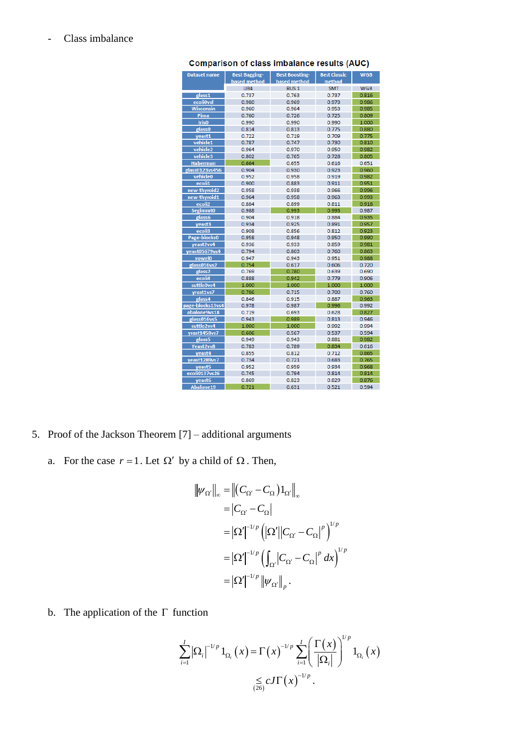| <b>Dataset name</b>       | <b>Best Bagging-</b> | <b>Best Boosting-</b> |                | <b>WGB</b>     |
|---------------------------|----------------------|-----------------------|----------------|----------------|
|                           | based method         | based method          | method         |                |
|                           | UB4                  | RUS <sub>1</sub>      | <b>SMT</b>     | <b>WGB</b>     |
| glass1                    | 0.737                | 0.763                 | 0.737          | 0.816          |
| ecoli0vsl                 | 0.980                | 0.969                 | 0.973          | 0.986          |
| Wisconsin                 | 0.960                | 0.964                 | 0.953          | 0.985          |
| Pima                      | 0.760                | 0.726                 | 0.725          | 0.809          |
| Iris <sub>0</sub>         | 0.990                | 0.990                 | 0.990          | 1.000          |
| glass0                    | 0.814                | 0.813                 | 0.775          | 0.880          |
| yeast1                    | 0.722                | 0.719                 | 0.709          | 0.775          |
| vehicle1                  | 0.787                | 0.747                 | 0.730          | 0.810          |
| vehicle <sub>2</sub>      | 0.964                | 0.970                 | 0.950          | 0.982          |
| vehicle3                  | 0.802                | 0.765                 | 0.728          | 0.805          |
| <b>Haberman</b>           | 0.664                | 0.655                 | 0.616          | 0.651          |
| glass0123vs456            | 0.904                | 0.930                 | 0.923          | 0.960          |
| vehicle <sub>0</sub>      | 0.952                | 0.958                 | 0.919          | 0.982          |
| ecoli1                    | 0.900                | 0.883                 | 0.911          | 0.951          |
| new-thyroid2              | 0.958                | 0.938                 | 0.966          | 0.996          |
| new-thyroid1              | 0.964                | 0.958                 | 0.963          | 0.993          |
| ecoli <sub>2</sub>        | 0.884<br>0.988       | 0.899                 | 0.811          | 0.918<br>0.987 |
| <b>Segimmt0</b><br>glass6 | 0.904                | 0.993<br>0.918        | 0.993<br>0.884 | 0.935          |
| yeast3                    | 0.934                | 0.925                 | 0.891          | 0.957          |
| ecoli3                    | 0.908                | 0.856                 | 0.812          | 0.923          |
| Page-blocks0              | 0.958                | 0.948                 | 0.950          | 0.990          |
| yeast2vs4                 | 0.936                | 0.933                 | 0.859          | 0.981          |
| yeast05679vs4             | 0.794                | 0.803                 | 0.760          | 0.863          |
| vowel0                    | 0.947                | 0.943                 | 0.951          | 0.988          |
| glass016vs2               | 0.754                | 0.617                 | 0.606          | 0.720          |
| glass2                    | 0.769                | 0.780                 | 0.639          | 0.690          |
| ecoli4                    | 0.888                | 0.942                 | 0.779          | 0.906          |
| suttle0vs4                | 1.000                | 1.000                 | 1.000          | 1.000          |
| yrast1vs7                 | 0.786                | 0.715                 | 0.700          | 0.760          |
| glass4                    | 0.846                | 0.915                 | 0.887          | 0.963          |
| page-blocks13vs4          | 0.978                | 0.987                 | 0.996          | 0.992          |
| abalone9vs18              | 0.719                | 0.693                 | 0.628          | 0.827          |
| glass016vs5               | 0.943                | 0.989                 | 0.813          | 0.946          |
| suttle2vs4                | 1.000                | 1.000                 | 0.992          | 0.994          |
| vrast1458vs7              | 0.606                | 0.567                 | 0.537          | 0.594          |
| glass5                    | 0.949                | 0.943                 | 0.881          | 0.982          |
| Yeast2vs8                 | 0.783                | 0.789                 | 0.834          | 0.616          |
| yeast4                    | 0.855                | 0.812                 | 0.712          | 0.865          |
| yeast1289vs7              | 0.734                | 0.721                 | 0.683          | 0.765          |
| yeast <sub>5</sub>        | 0.952                | 0.959                 | 0.934          | 0.968          |
| ecoli0137vs26             | 0.745                | 0.794                 | 0.814          | 0.814          |
| yeast6                    | 0.869                | 0.823                 | 0.829          | 0.876          |
| Abalone19                 | 0.721                | 0.631                 | 0.521          | 0.594          |

**Comparison of class imbalance results (AUC)** 

# - Class imbalance

- 5. Proof of the Jackson Theorem [7] additional arguments
	- a. For the case  $r = 1$ . Let  $\Omega'$  by a child of  $\Omega$ . Then,

$$
\|\psi_{\Omega'}\|_{\infty} = \left\|(C_{\Omega'} - C_{\Omega})1_{\Omega'}\right\|_{\infty}
$$
  
\n
$$
= |C_{\Omega'} - C_{\Omega}|
$$
  
\n
$$
= |\Omega'|^{-1/p} \left(|\Omega'||C_{\Omega'} - C_{\Omega}|^{p}\right)^{1/p}
$$
  
\n
$$
= |\Omega'|^{-1/p} \left(\int_{\Omega'} |C_{\Omega'} - C_{\Omega}|^{p} dx\right)^{1/p}
$$
  
\n
$$
= |\Omega'|^{-1/p} \left\|\psi_{\Omega'}\right\|_{p} .
$$

b. The application of the  $\Gamma$  function

$$
\sum_{i=1}^{I} |\Omega_{i}|^{-1/p} 1_{\Omega_{i}}(x) = \Gamma(x)^{-1/p} \sum_{i=1}^{I} \left(\frac{\Gamma(x)}{|\Omega_{i}|}\right)^{1/p} 1_{\Omega_{i}}(x)
$$

$$
\leq \frac{C}{(\Omega_{i})} C I \Gamma(x)^{-1/p}.
$$